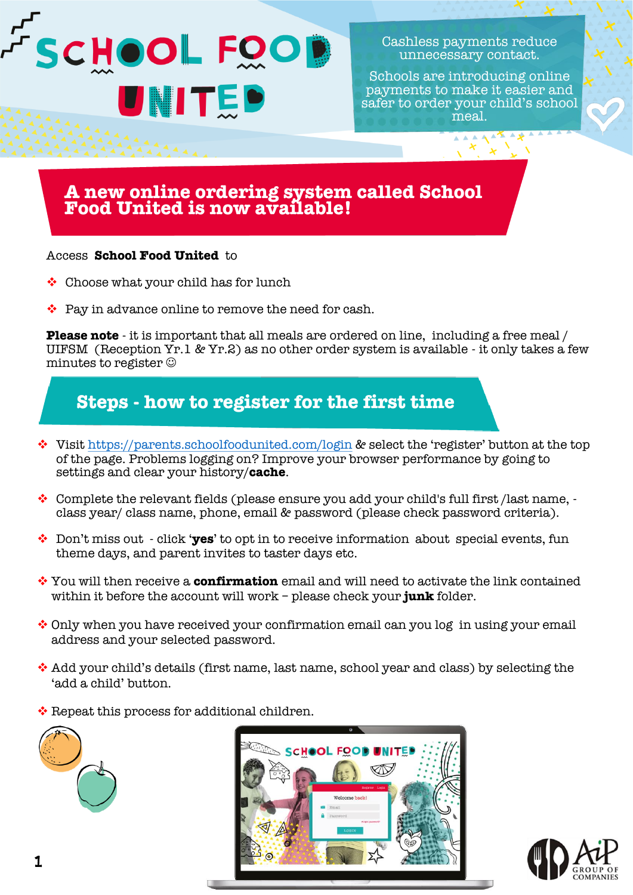

Cashless payments reduce unnecessary contact.

Schools are introducing online payments to make it easier and safer to order your child's school meal.

## **A new online ordering system called School Food United is now available!**

#### Access **School Food United** to

- ❖ Choose what your child has for lunch
- ❖ Pay in advance online to remove the need for cash.

**Please note** - it is important that all meals are ordered on line, including a free meal / UIFSM (Reception Yr.1 & Yr.2) as no other order system is available - it only takes a few minutes to register ☺

## **Steps - how to register for the first time**

- ❖ Visit <https://parents.schoolfoodunited.com/login> & select the 'register' button at the top of the page. Problems logging on? Improve your browser performance by going to settings and clear your history/**cache**.
- ❖ Complete the relevant fields (please ensure you add your child's full first /last name, class year/ class name, phone, email & password (please check password criteria).
- ❖ Don't miss out click '**yes**' to opt in to receive information about special events, fun theme days, and parent invites to taster days etc.
- ❖ You will then receive a **confirmation** email and will need to activate the link contained within it before the account will work – please check your **junk** folder.
- $\div$  Only when you have received your confirmation email can you log in using your email address and your selected password.
- ❖ Add your child's details (first name, last name, school year and class) by selecting the 'add a child' button.
- ❖ Repeat this process for additional children.